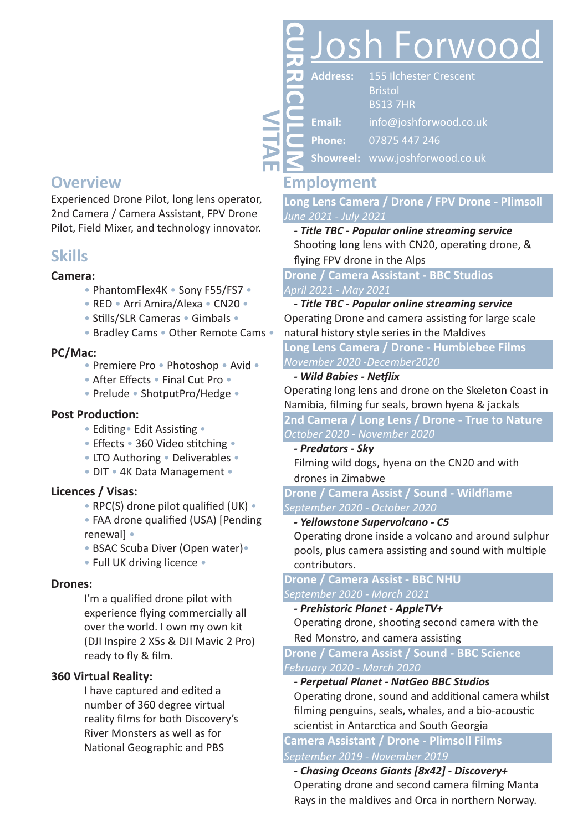## **Overview**

Experienced Drone Pilot, long lens operator, 2nd Camera / Camera Assistant, FPV Drone Pilot, Field Mixer, and technology innovator.

### **Skills**

#### **Camera:**

- PhantomFlex4K Sony F55/FS7 •
- RED Arri Amira/Alexa CN20 •
- Stills/SLR Cameras Gimbals •
- Bradley Cams Other Remote Cams •

#### **PC/Mac:**

- Premiere Pro Photoshop Avid •
- After Effects Final Cut Pro •
- Prelude ShotputPro/Hedge •

#### **Post Production:**

- Editing• Edit Assisting •
- Effects 360 Video stitching •
- LTO Authoring Deliverables •
- DIT 4K Data Management •

#### **Licences / Visas:**

- RPC(S) drone pilot qualified (UK) •
- FAA drone qualified (USA) [Pending renewal] •
- BSAC Scuba Diver (Open water)•
- Full UK driving licence •

#### **Drones:**

I'm a qualified drone pilot with experience flying commercially all over the world. I own my own kit (DJI Inspire 2 X5s & DJI Mavic 2 Pro) ready to fly & film.

#### **360 Virtual Reality:**

I have captured and edited a number of 360 degree virtual reality films for both Discovery's River Monsters as well as for National Geographic and PBS

# osh Forwood **CURRICULUM**

**Address: Email: Phone:** 155 Ilchester Crescent Bristol BS13 7HR info@joshforwood.co.uk 07875 447 246

**Showreel:** www.joshforwood.co.uk

# **Employment**

**VITAE**

**Long Lens Camera / Drone / FPV Drone - Plimsoll** *June 2021 - July 2021*

*- Title TBC - Popular online streaming service* Shooting long lens with CN20, operating drone, & flying FPV drone in the Alps

**Drone / Camera Assistant - BBC Studios** *April 2021 - May 2021*

*- Title TBC - Popular online streaming service* Operating Drone and camera assisting for large scale natural history style series in the Maldives

**Long Lens Camera / Drone - Humblebee Films** *November 2020 -December2020*

#### *- Wild Babies - Netflix*

Operating long lens and drone on the Skeleton Coast in Namibia, filming fur seals, brown hyena & jackals

**2nd Camera / Long Lens / Drone - True to Nature** *October 2020 - November 2020*

#### *- Predators - Sky*

Filming wild dogs, hyena on the CN20 and with drones in Zimabwe

**Drone / Camera Assist / Sound - Wildflame** *September 2020 - October 2020*

#### *- Yellowstone Supervolcano - C5*

Operating drone inside a volcano and around sulphur pools, plus camera assisting and sound with multiple contributors.

#### **Drone / Camera Assist - BBC NHU** *September 2020 - March 2021*

#### *- Prehistoric Planet - AppleTV+*

Operating drone, shooting second camera with the Red Monstro, and camera assisting

**Drone / Camera Assist / Sound - BBC Science** *February 2020 - March 2020*

#### *- Perpetual Planet - NatGeo BBC Studios*

Operating drone, sound and additional camera whilst filming penguins, seals, whales, and a bio-acoustic scientist in Antarctica and South Georgia

**Camera Assistant / Drone - Plimsoll Films** *September 2019 - November 2019*

*- Chasing Oceans Giants [8x42] - Discovery+* Operating drone and second camera filming Manta Rays in the maldives and Orca in northern Norway.